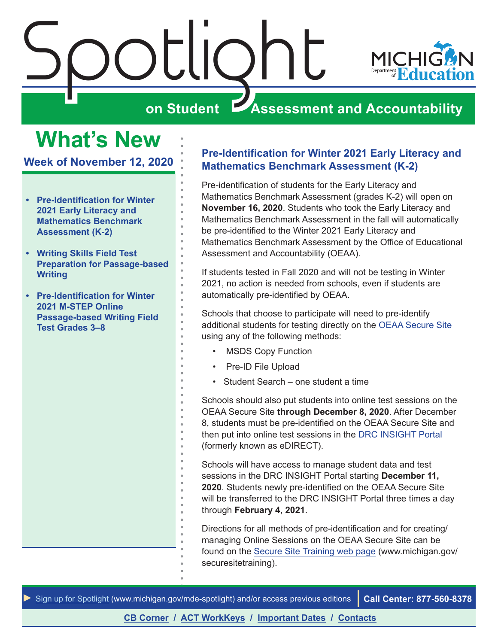<span id="page-0-0"></span>

# **What's New**

**Week of November 12, 2020**

- **• Pre-Identification for Winter 2021 Early Literacy and Mathematics Benchmark Assessment (K-2)**
- **• [Writing Skills Field Test](#page-1-0)  [Preparation for Passage-based](#page-1-0)  [Writing](#page-1-0)**
- **• [Pre-Identification for Winter](#page-2-0)  [2021 M-STEP Online](#page-2-0)  [Passage-based Writing Field](#page-2-0)  [Test Grades 3–8](#page-2-0)**

# **Pre-Identification for Winter 2021 Early Literacy and Mathematics Benchmark Assessment (K-2)**

Pre-identification of students for the Early Literacy and Mathematics Benchmark Assessment (grades K-2) will open on **November 16, 2020**. Students who took the Early Literacy and Mathematics Benchmark Assessment in the fall will automatically be pre-identified to the Winter 2021 Early Literacy and Mathematics Benchmark Assessment by the Office of Educational Assessment and Accountability (OEAA).

If students tested in Fall 2020 and will not be testing in Winter 2021, no action is needed from schools, even if students are automatically pre-identified by OEAA.

Schools that choose to participate will need to pre-identify additional students for testing directly on the [OEAA Secure Site](http://www.michigan.gov/oeaa-secure) using any of the following methods:

- MSDS Copy Function
- Pre-ID File Upload
- Student Search one student a time

Schools should also put students into online test sessions on the OEAA Secure Site **through December 8, 2020**. After December 8, students must be pre-identified on the OEAA Secure Site and then put into online test sessions in the [DRC INSIGHT Portal](https://mi.drcedirect.com) (formerly known as eDIRECT).

Schools will have access to manage student data and test sessions in the DRC INSIGHT Portal starting **December 11, 2020**. Students newly pre-identified on the OEAA Secure Site will be transferred to the DRC INSIGHT Portal three times a day through **February 4, 2021**.

Directions for all methods of pre-identification and for creating/ managing Online Sessions on the OEAA Secure Site can be found on the [Secure Site Training web page](http://www.michigan.gov/securesitetraining) (www.michigan.gov/ securesitetraining).

*►* [Sign up for Spotlight](https://public.govdelivery.com/accounts/MIMDE/subscriber/new) ([www.michigan.gov/mde](www.michigan.gov/mde-spotlight)-spotlight) and/or access previous editions **Call Center: 877-560-8378**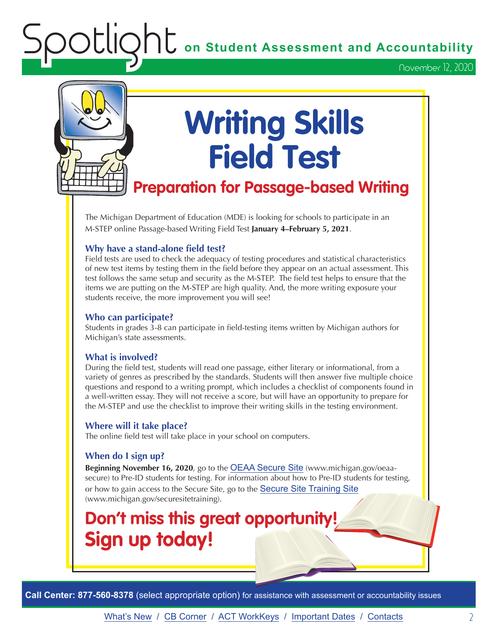**OC** on Student Assessment and Accountability

November 12, 2020

<span id="page-1-0"></span>

# **Writing Skills Field Test**

# **Preparation for Passage-based Writing**

The Michigan Department of Education (MDE) is looking for schools to participate in an M-STEP online Passage-based Writing Field Test **January 4–February 5, 2021**.

#### **Why have a stand-alone field test?**

Field tests are used to check the adequacy of testing procedures and statistical characteristics of new test items by testing them in the field before they appear on an actual assessment. This test follows the same setup and security as the M-STEP. The field test helps to ensure that the items we are putting on the M-STEP are high quality. And, the more writing exposure your students receive, the more improvement you will see!

#### **Who can participate?**

Students in grades 3-8 can participate in field-testing items written by Michigan authors for Michigan's state assessments.

#### **What is involved?**

During the field test, students will read one passage, either literary or informational, from a variety of genres as prescribed by the standards. Students will then answer five multiple choice questions and respond to a writing prompt, which includes a checklist of components found in a well-written essay. They will not receive a score, but will have an opportunity to prepare for the M-STEP and use the checklist to improve their writing skills in the testing environment.

#### **Where will it take place?**

The online field test will take place in your school on computers.

#### **When do I sign up?**

**Beginning November 16, 2020**, go to the [OEAA Secure Site](http://www.michigan.gov/oeaa-secure) (www.michigan.gov/oeaasecure) to Pre-ID students for testing. For information about how to Pre-ID students for testing, or how to gain access to the Secure Site, go to the [Secure Site Training Site](http://www.michigan.gov/securesitetraining) (www.michigan.gov/securesitetraining).

# **Don't miss this great opportunity! Sign up today!**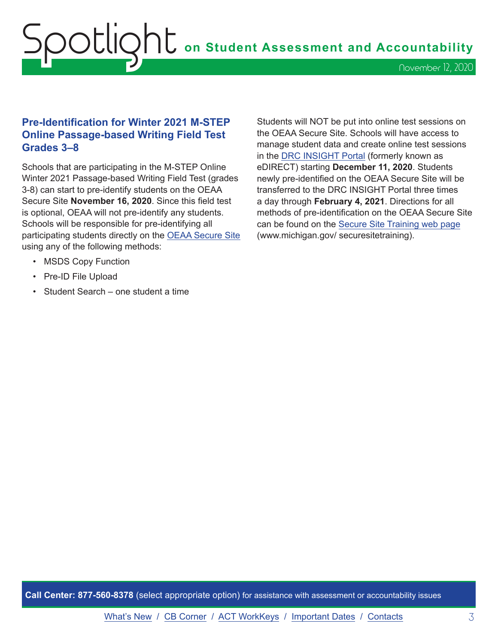# <span id="page-2-0"></span>Spotlight **on Student Assessment and Accountability** November 12, 2020

## **Pre-Identification for Winter 2021 M-STEP Online Passage-based Writing Field Test Grades 3–8**

Schools that are participating in the M-STEP Online Winter 2021 Passage-based Writing Field Test (grades 3-8) can start to pre-identify students on the OEAA Secure Site **November 16, 2020**. Since this field test is optional, OEAA will not pre-identify any students. Schools will be responsible for pre-identifying all participating students directly on the [OEAA Secure Site](http://www.michigan.gov/oeaa-secure) using any of the following methods:

- MSDS Copy Function
- Pre-ID File Upload
- Student Search one student a time

Students will NOT be put into online test sessions on the OEAA Secure Site. Schools will have access to manage student data and create online test sessions in the [DRC INSIGHT Portal](https://mi.drcedirect.com) (formerly known as eDIRECT) starting **December 11, 2020**. Students newly pre-identified on the OEAA Secure Site will be transferred to the DRC INSIGHT Portal three times a day through **February 4, 2021**. Directions for all methods of pre-identification on the OEAA Secure Site can be found on the [Secure Site Training web page](http://www.michigan.gov/securesitetraining) (www.michigan.gov/ securesitetraining).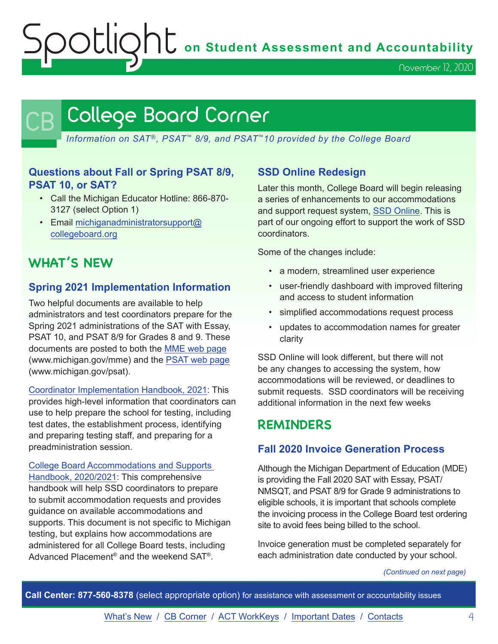Spotlight **on Student Assessment and Accountability**

November 12, 2020

# <span id="page-3-0"></span>College Board Corner

*Information on SAT*®*, PSAT*™ *8/9, and PSAT*™*10 provided by the College Board*

## **Questions about Fall or Spring PSAT 8/9, PSAT 10, or SAT?**

- Call the Michigan Educator Hotline: 866-870- 3127 (select Option 1)
- Email [michiganadministratorsupport@](mailto:michiganadministratorsupport%40collegeboard.org?subject=) [collegeboard.org](mailto:michiganadministratorsupport%40collegeboard.org?subject=)

# **WHAT'S NEW**

# **Spring 2021 Implementation Information**

Two helpful documents are available to help administrators and test coordinators prepare for the Spring 2021 administrations of the SAT with Essay, PSAT 10, and PSAT 8/9 for Grades 8 and 9. These documents are posted to both the [MME web page](www.michigan.gov/mme) (www.michigan.gov/mme) and the [PSAT web page](http://www.michigan.gov/psat) (www.michigan.gov/psat).

[Coordinator Implementation Handbook, 2021:](https://www.michigan.gov/documents/mde/2021_Michigan_Coordinator_Implementation_Handbook_706689_7.pdf) This provides high-level information that coordinators can use to help prepare the school for testing, including test dates, the establishment process, identifying and preparing testing staff, and preparing for a preadministration session.

[College Board Accommodations and Supports](https://accommodations.collegeboard.org/pdf/accommodations-supports-handbook.pdf)  [Handbook, 2020/2021:](https://accommodations.collegeboard.org/pdf/accommodations-supports-handbook.pdf) This comprehensive handbook will help SSD coordinators to prepare to submit accommodation requests and provides guidance on available accommodations and supports. This document is not specific to Michigan testing, but explains how accommodations are administered for all College Board tests, including Advanced Placement® and the weekend SAT®.

# **SSD Online Redesign**

Later this month, College Board will begin releasing a series of enhancements to our accommodations and support request system, [SSD Online](https://account.collegeboard.org/login/login?appId=229&DURL=https%3A%2F%2Fssd.collegeboard.org%2Fssd%2Fcoordinator%2FSefAction.action). This is part of our ongoing effort to support the work of SSD coordinators.

Some of the changes include:

- a modern, streamlined user experience
- user-friendly dashboard with improved filtering and access to student information
- simplified accommodations request process
- updates to accommodation names for greater clarity

SSD Online will look different, but there will not be any changes to accessing the system, how accommodations will be reviewed, or deadlines to submit requests. SSD coordinators will be receiving additional information in the next few weeks

# **REMINDERS**

# **Fall 2020 Invoice Generation Process**

Although the Michigan Department of Education (MDE) is providing the Fall 2020 SAT with Essay, PSAT/ NMSQT, and PSAT 8/9 for Grade 9 administrations to eligible schools, it is important that schools complete the invoicing process in the College Board test ordering site to avoid fees being billed to the school.

Invoice generation must be completed separately for each administration date conducted by your school.

*(Continued on next page)*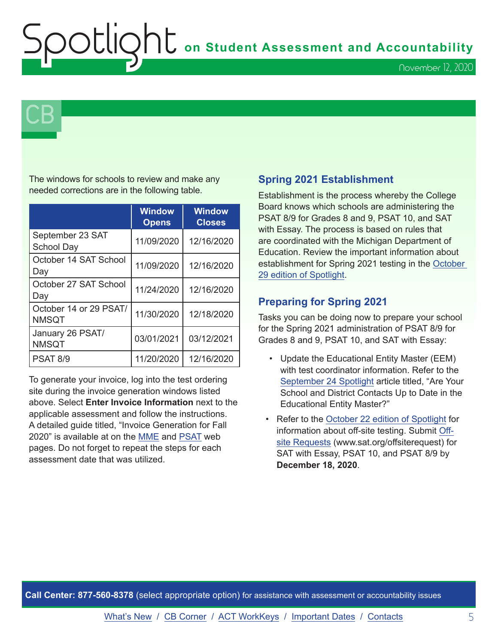**ht** on Student Assessment and Accountability

November 12, 2020

 $\mathsf{CB}\,\mathsf{I}$ 

The windows for schools to review and make any needed corrections are in the following table.

|                                        | <b>Window</b><br><b>Opens</b> | <b>Window</b><br><b>Closes</b> |
|----------------------------------------|-------------------------------|--------------------------------|
| September 23 SAT<br><b>School Day</b>  | 11/09/2020                    | 12/16/2020                     |
| October 14 SAT School<br>Day           | 11/09/2020                    | 12/16/2020                     |
| October 27 SAT School<br>Day           | 11/24/2020                    | 12/16/2020                     |
| October 14 or 29 PSAT/<br><b>NMSQT</b> | 11/30/2020                    | 12/18/2020                     |
| January 26 PSAT/<br><b>NMSQT</b>       | 03/01/2021                    | 03/12/2021                     |
| <b>PSAT 8/9</b>                        | 11/20/2020                    | 12/16/2020                     |

To generate your invoice, log into the test ordering site during the invoice generation windows listed above. Select **Enter Invoice Information** next to the applicable assessment and follow the instructions. A detailed guide titled, "Invoice Generation for Fall 2020" is available at on the [MME](www.michigan.gov/mme) and [PSAT](http://www.michigan.gov/psat) web pages. Do not forget to repeat the steps for each assessment date that was utilized.

## **Spring 2021 Establishment**

Establishment is the process whereby the College Board knows which schools are administering the PSAT 8/9 for Grades 8 and 9, PSAT 10, and SAT with Essay. The process is based on rules that are coordinated with the Michigan Department of Education. Review the important information about establishment for Spring 2021 testing in the [October](https://www.michigan.gov/documents/mde/Spotlight_10-29-20_706526_7.pdf)  [29 edition of Spotlight.](https://www.michigan.gov/documents/mde/Spotlight_10-29-20_706526_7.pdf)

## **Preparing for Spring 2021**

Tasks you can be doing now to prepare your school for the Spring 2021 administration of PSAT 8/9 for Grades 8 and 9, PSAT 10, and SAT with Essay:

- Update the Educational Entity Master (EEM) with test coordinator information. Refer to the [September 24 Spotlight](https://www.michigan.gov/documents/mde/Spotlight_9-24-20_703294_7.pdf) article titled, "Are Your School and District Contacts Up to Date in the Educational Entity Master?"
- Refer to the [October 22 edition of Spotlight](https://www.michigan.gov/documents/mde/Spotlight_10-22-20_705870_7.pdf) for information about off-site testing. Submit [Off](https://docs.google.com/forms/d/e/1FAIpQLSfSTKnzdyk5RIlXJ1e-rgX0U1vDoEYKFBHld3rl3nDsmICJvA/viewform)[site Requests](https://docs.google.com/forms/d/e/1FAIpQLSfSTKnzdyk5RIlXJ1e-rgX0U1vDoEYKFBHld3rl3nDsmICJvA/viewform) (www.sat.org/offsiterequest) for SAT with Essay, PSAT 10, and PSAT 8/9 by **December 18, 2020**.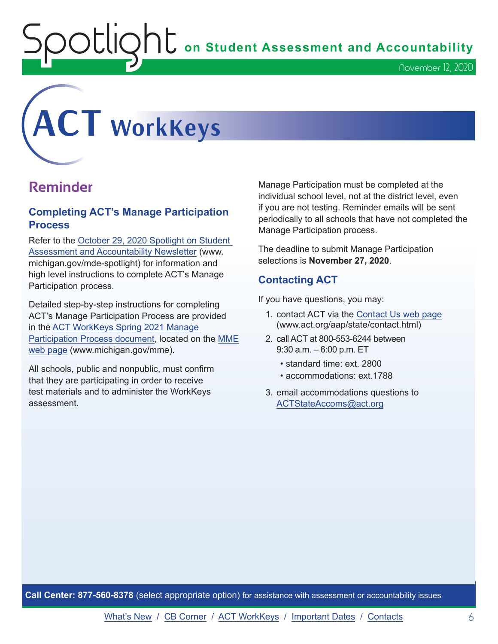$\sum_{i=1}^{n} \sum_{i=1}^{n} \sigma_i$  on Student Assessment and Accountability

# <span id="page-5-0"></span>**ACT WorkKeys**

# **Reminder**

## **Completing ACT's Manage Participation Process**

Refer to the [October 29, 2020 Spotlight on Student](https://www.michigan.gov/documents/mde/Spotlight_10-29-20_706526_7.pdf)  [Assessment and Accountability Newsletter](https://www.michigan.gov/documents/mde/Spotlight_10-29-20_706526_7.pdf) (www. michigan.gov/mde-spotlight) for information and high level instructions to complete ACT's Manage Participation process.

Detailed step-by-step instructions for completing ACT's Manage Participation Process are provided in the [ACT WorkKeys Spring 2021 Manage](https://www.michigan.gov/documents/mde/ACT_WorkKeys_Spring_2021_Manage_Participation_Guide_706807_7.pdf)  [Participation Process document,](https://www.michigan.gov/documents/mde/ACT_WorkKeys_Spring_2021_Manage_Participation_Guide_706807_7.pdf) located on the [MME](www.michigan.gov/mme)  [web page](www.michigan.gov/mme) (www.michigan.gov/mme).

All schools, public and nonpublic, must confirm that they are participating in order to receive test materials and to administer the WorkKeys assessment.

Manage Participation must be completed at the individual school level, not at the district level, even if you are not testing. Reminder emails will be sent periodically to all schools that have not completed the Manage Participation process.

The deadline to submit Manage Participation selections is **November 27, 2020**.

# **Contacting ACT**

If you have questions, you may:

- 1. contact ACT via the [Contact Us web page](http://www.act.org/aap/state/contact.html) ([www.act.org/aap/state/contact.html](https://www.act.org/aap/state/contact.html))
- 2. call ACT at 800-553-6244 between 9:30 a.m. – 6:00 p.m. ET
	- standard time: ext. 2800
	- accommodations: ext.1788
- 3. email accommodations questions to [ACTStateAccoms@act.org](mailto:ACTStateAccoms%40act.org?subject=)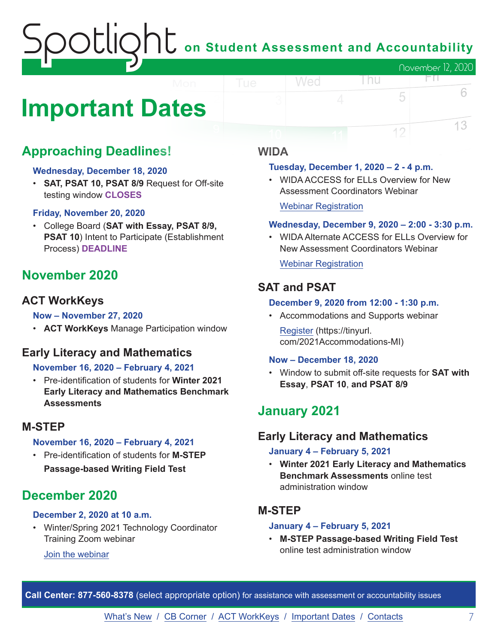# on Student Assessment and Accountability November 12, 2020

# <span id="page-6-0"></span>**Important Dates**

# **Approaching Deadlines!**

#### **Wednesday, December 18, 2020**

• **SAT, PSAT 10, PSAT 8/9** Request for Off-site testing window **CLOSES**

#### **Friday, November 20, 2020**

• College Board (**SAT with Essay, PSAT 8/9, PSAT 10**) Intent to Participate (Establishment Process) **DEADLINE**

# **November 2020**

# **ACT WorkKeys**

#### **Now – November 27, 2020**

• **ACT WorkKeys** Manage Participation window

# **Early Literacy and Mathematics**

## **November 16, 2020 – February 4, 2021**

• Pre-identification of students for **Winter 2021 Early Literacy and Mathematics Benchmark Assessments**

# **M-STEP**

# **November 16, 2020 – February 4, 2021**

• Pre-identification of students for **M-STEP Passage-based Writing Field Test**

# **December 2020**

# **December 2, 2020 at 10 a.m.**

• Winter/Spring 2021 Technology Coordinator Training Zoom webinar

## [Join the webinar](https://datarecognitioncorp.zoom.us/j/99441419689)

# **WIDA**

#### **Tuesday, December 1, 2020 – 2 - 4 p.m.**

• WIDA ACCESS for ELLs Overview for New Assessment Coordinators Webinar

[Webinar Registration](https://fall_2020_wida_access_for_ells_overview_webinar.eventbrite.com)

Wed

#### **Wednesday, December 9, 2020 – 2:00 - 3:30 p.m.**

l nu

FП.

5

12

6

13

• WIDA Alternate ACCESS for ELLs Overview for New Assessment Coordinators Webinar

[Webinar Registration](https://fall_2020_wida_alternate_access_for_ells_overview.eventbrite.com)

# **SAT and PSAT**

#### **December 9, 2020 from 12:00 - 1:30 p.m.**

• Accommodations and Supports webinar [Register](https://tinyurl.com/2021Accommodations-MI) (https://tinyurl. com/2021Accommodations-MI)

#### **Now – December 18, 2020**

• Window to submit off-site requests for **SAT with Essay**, **PSAT 10**, **and PSAT 8/9**

# **January 2021**

# **Early Literacy and Mathematics**

#### **January 4 – February 5, 2021**

• **Winter 2021 Early Literacy and Mathematics Benchmark Assessments** online test administration window

# **M-STEP**

#### **January 4 – February 5, 2021**

• **M-STEP Passage-based Writing Field Test** online test administration window

**Call Center: 877-560-8378** (select appropriate option) for assistance with assessment or accountability issues

[What's New](#page-0-0) / [CB Corner](#page-3-0) / [ACT WorkKeys](#page-5-0) / [Important Dates](#page-6-0) / [Contacts](#page-7-0) 7